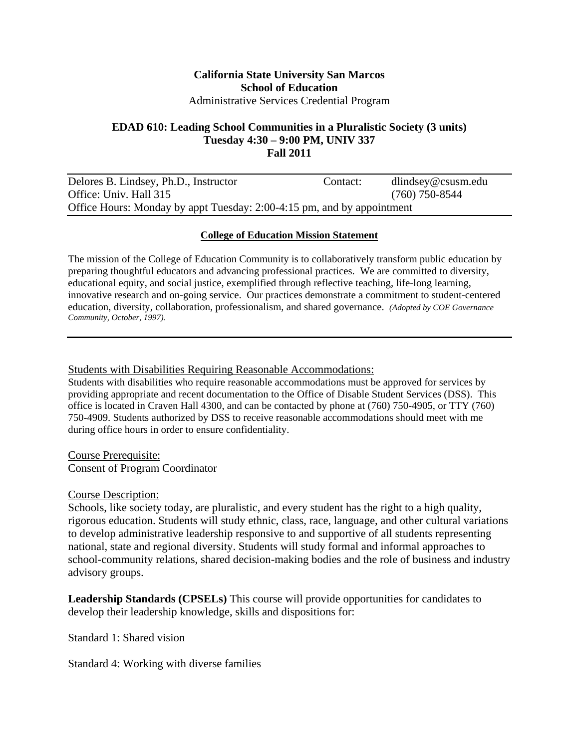#### **California State University San Marcos School of Education**  Administrative Services Credential Program

#### **EDAD 610: Leading School Communities in a Pluralistic Society (3 units) Tuesday 4:30 – 9:00 PM, UNIV 337 Fall 2011**

| Delores B. Lindsey, Ph.D., Instructor                                  | Contact: | $d$ lindsey@csusm.edu |
|------------------------------------------------------------------------|----------|-----------------------|
| Office: Univ. Hall 315                                                 |          | $(760)$ 750-8544      |
| Office Hours: Monday by appt Tuesday: 2:00-4:15 pm, and by appointment |          |                       |

#### **College of Education Mission Statement**

The mission of the College of Education Community is to collaboratively transform public education by preparing thoughtful educators and advancing professional practices. We are committed to diversity, educational equity, and social justice, exemplified through reflective teaching, life-long learning, innovative research and on-going service. Our practices demonstrate a commitment to student-centered education, diversity, collaboration, professionalism, and shared governance. *(Adopted by COE Governance Community, October, 1997).* 

#### Students with Disabilities Requiring Reasonable Accommodations:

Students with disabilities who require reasonable accommodations must be approved for services by providing appropriate and recent documentation to the Office of Disable Student Services (DSS). This office is located in Craven Hall 4300, and can be contacted by phone at (760) 750-4905, or TTY (760) 750-4909. Students authorized by DSS to receive reasonable accommodations should meet with me during office hours in order to ensure confidentiality.

Course Prerequisite: Consent of Program Coordinator

Course Description:

Schools, like society today, are pluralistic, and every student has the right to a high quality, rigorous education. Students will study ethnic, class, race, language, and other cultural variations to develop administrative leadership responsive to and supportive of all students representing national, state and regional diversity. Students will study formal and informal approaches to school-community relations, shared decision-making bodies and the role of business and industry advisory groups.

**Leadership Standards (CPSELs)** This course will provide opportunities for candidates to develop their leadership knowledge, skills and dispositions for:

Standard 1: Shared vision

Standard 4: Working with diverse families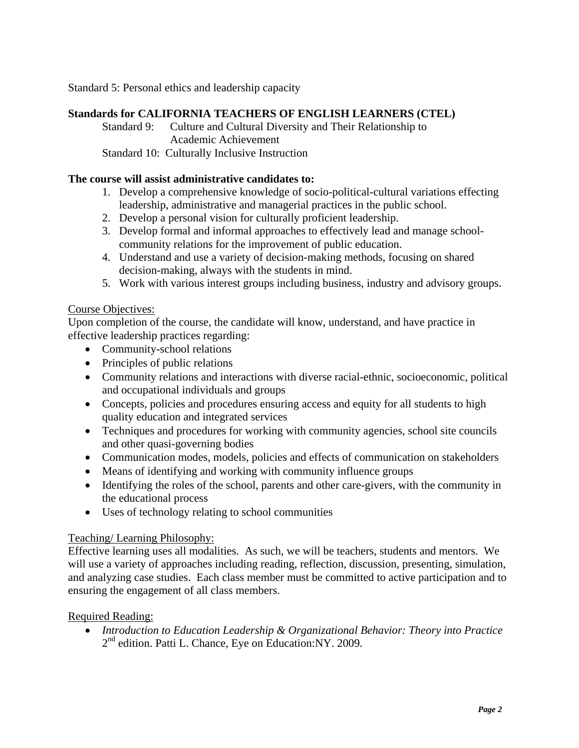Standard 5: Personal ethics and leadership capacity

#### **Standards for CALIFORNIA TEACHERS OF ENGLISH LEARNERS (CTEL)**

Standard 9: Culture and Cultural Diversity and Their Relationship to Academic Achievement

Standard 10: Culturally Inclusive Instruction

#### **The course will assist administrative candidates to:**

- 1. Develop a comprehensive knowledge of socio-political-cultural variations effecting leadership, administrative and managerial practices in the public school.
- 2. Develop a personal vision for culturally proficient leadership.
- 3. Develop formal and informal approaches to effectively lead and manage schoolcommunity relations for the improvement of public education.
- 4. Understand and use a variety of decision-making methods, focusing on shared decision-making, always with the students in mind.
- 5. Work with various interest groups including business, industry and advisory groups.

#### Course Objectives:

Upon completion of the course, the candidate will know, understand, and have practice in effective leadership practices regarding:

- Community-school relations
- Principles of public relations
- Community relations and interactions with diverse racial-ethnic, socioeconomic, political and occupational individuals and groups
- Concepts, policies and procedures ensuring access and equity for all students to high quality education and integrated services
- Techniques and procedures for working with community agencies, school site councils and other quasi-governing bodies
- Communication modes, models, policies and effects of communication on stakeholders
- Means of identifying and working with community influence groups
- Identifying the roles of the school, parents and other care-givers, with the community in the educational process
- Uses of technology relating to school communities

#### Teaching/ Learning Philosophy:

Effective learning uses all modalities. As such, we will be teachers, students and mentors. We will use a variety of approaches including reading, reflection, discussion, presenting, simulation, and analyzing case studies. Each class member must be committed to active participation and to ensuring the engagement of all class members.

#### Required Reading:

 *Introduction to Education Leadership & Organizational Behavior: Theory into Practice*  2<sup>nd</sup> edition. Patti L. Chance, Eye on Education:NY. 2009.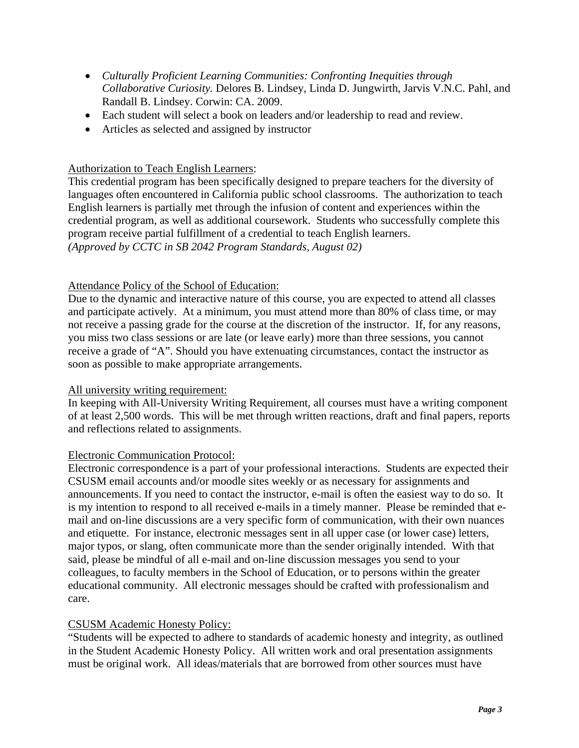- *Culturally Proficient Learning Communities: Confronting Inequities through Collaborative Curiosity.* Delores B. Lindsey, Linda D. Jungwirth, Jarvis V.N.C. Pahl, and Randall B. Lindsey. Corwin: CA. 2009.
- Each student will select a book on leaders and/or leadership to read and review.
- Articles as selected and assigned by instructor

### Authorization to Teach English Learners:

This credential program has been specifically designed to prepare teachers for the diversity of languages often encountered in California public school classrooms. The authorization to teach English learners is partially met through the infusion of content and experiences within the credential program, as well as additional coursework. Students who successfully complete this program receive partial fulfillment of a credential to teach English learners. *(Approved by CCTC in SB 2042 Program Standards, August 02)* 

#### Attendance Policy of the School of Education:

Due to the dynamic and interactive nature of this course, you are expected to attend all classes and participate actively. At a minimum, you must attend more than 80% of class time, or may not receive a passing grade for the course at the discretion of the instructor. If, for any reasons, you miss two class sessions or are late (or leave early) more than three sessions, you cannot receive a grade of "A". Should you have extenuating circumstances, contact the instructor as soon as possible to make appropriate arrangements.

#### All university writing requirement:

In keeping with All-University Writing Requirement, all courses must have a writing component of at least 2,500 words. This will be met through written reactions, draft and final papers, reports and reflections related to assignments.

#### Electronic Communication Protocol:

Electronic correspondence is a part of your professional interactions. Students are expected their CSUSM email accounts and/or moodle sites weekly or as necessary for assignments and announcements. If you need to contact the instructor, e-mail is often the easiest way to do so. It is my intention to respond to all received e-mails in a timely manner. Please be reminded that email and on-line discussions are a very specific form of communication, with their own nuances and etiquette. For instance, electronic messages sent in all upper case (or lower case) letters, major typos, or slang, often communicate more than the sender originally intended. With that said, please be mindful of all e-mail and on-line discussion messages you send to your colleagues, to faculty members in the School of Education, or to persons within the greater educational community. All electronic messages should be crafted with professionalism and care.

#### CSUSM Academic Honesty Policy:

"Students will be expected to adhere to standards of academic honesty and integrity, as outlined in the Student Academic Honesty Policy. All written work and oral presentation assignments must be original work. All ideas/materials that are borrowed from other sources must have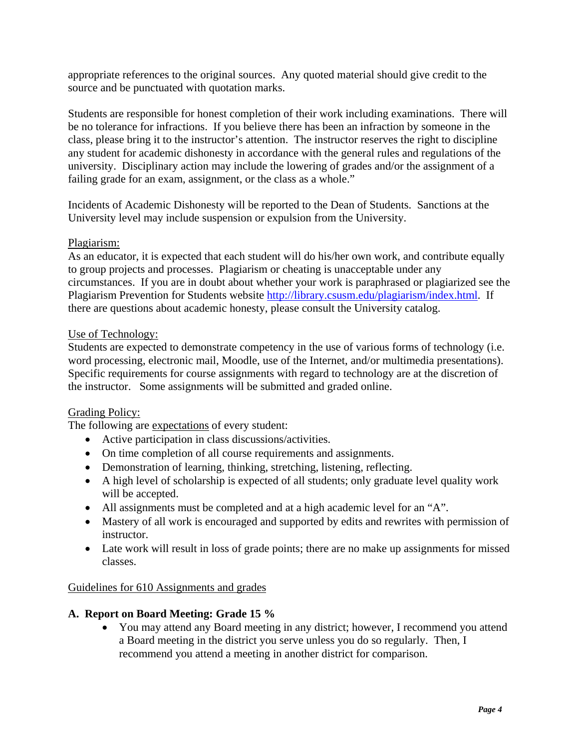appropriate references to the original sources. Any quoted material should give credit to the source and be punctuated with quotation marks.

Students are responsible for honest completion of their work including examinations. There will be no tolerance for infractions. If you believe there has been an infraction by someone in the class, please bring it to the instructor's attention. The instructor reserves the right to discipline any student for academic dishonesty in accordance with the general rules and regulations of the university. Disciplinary action may include the lowering of grades and/or the assignment of a failing grade for an exam, assignment, or the class as a whole."

Incidents of Academic Dishonesty will be reported to the Dean of Students. Sanctions at the University level may include suspension or expulsion from the University.

#### Plagiarism:

As an educator, it is expected that each student will do his/her own work, and contribute equally to group projects and processes. Plagiarism or cheating is unacceptable under any circumstances. If you are in doubt about whether your work is paraphrased or plagiarized see the Plagiarism Prevention for Students website http://library.csusm.edu/plagiarism/index.html. If there are questions about academic honesty, please consult the University catalog.

#### Use of Technology:

Students are expected to demonstrate competency in the use of various forms of technology (i.e. word processing, electronic mail, Moodle, use of the Internet, and/or multimedia presentations). Specific requirements for course assignments with regard to technology are at the discretion of the instructor. Some assignments will be submitted and graded online.

#### Grading Policy:

The following are expectations of every student:

- Active participation in class discussions/activities.
- On time completion of all course requirements and assignments.
- Demonstration of learning, thinking, stretching, listening, reflecting.
- A high level of scholarship is expected of all students; only graduate level quality work will be accepted.
- All assignments must be completed and at a high academic level for an "A".
- Mastery of all work is encouraged and supported by edits and rewrites with permission of instructor.
- Late work will result in loss of grade points; there are no make up assignments for missed classes.

#### Guidelines for 610 Assignments and grades

#### **A. Report on Board Meeting: Grade 15 %**

 You may attend any Board meeting in any district; however, I recommend you attend a Board meeting in the district you serve unless you do so regularly. Then, I recommend you attend a meeting in another district for comparison.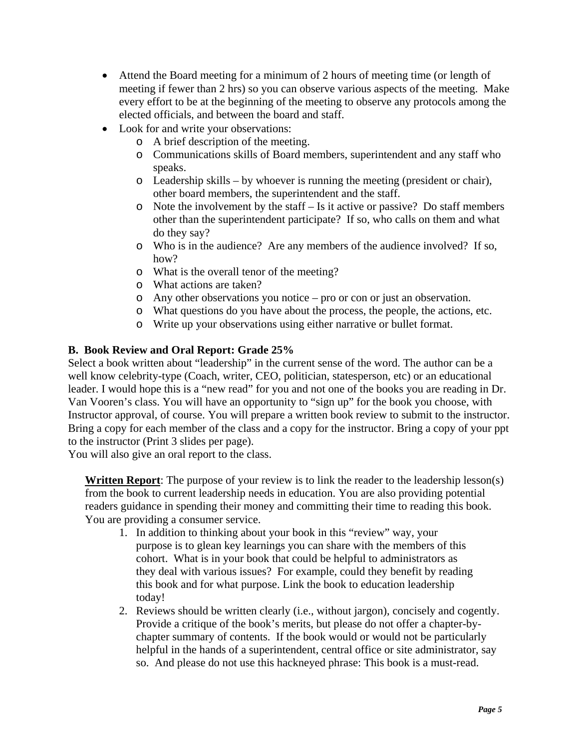- Attend the Board meeting for a minimum of 2 hours of meeting time (or length of meeting if fewer than 2 hrs) so you can observe various aspects of the meeting. Make every effort to be at the beginning of the meeting to observe any protocols among the elected officials, and between the board and staff.
- Look for and write your observations:
	- o A brief description of the meeting.
	- o Communications skills of Board members, superintendent and any staff who speaks.
	- $\circ$  Leadership skills by whoever is running the meeting (president or chair), other board members, the superintendent and the staff.
	- $\circ$  Note the involvement by the staff Is it active or passive? Do staff members other than the superintendent participate? If so, who calls on them and what do they say?
	- o Who is in the audience? Are any members of the audience involved? If so, how?
	- o What is the overall tenor of the meeting?
	- o What actions are taken?
	- $\circ$  Any other observations you notice pro or con or just an observation.
	- o What questions do you have about the process, the people, the actions, etc.
	- o Write up your observations using either narrative or bullet format.

# **B. Book Review and Oral Report: Grade 25%**

Select a book written about "leadership" in the current sense of the word. The author can be a well know celebrity-type (Coach, writer, CEO, politician, statesperson, etc) or an educational leader. I would hope this is a "new read" for you and not one of the books you are reading in Dr. Van Vooren's class. You will have an opportunity to "sign up" for the book you choose, with Instructor approval, of course. You will prepare a written book review to submit to the instructor. Bring a copy for each member of the class and a copy for the instructor. Bring a copy of your ppt to the instructor (Print 3 slides per page).

You will also give an oral report to the class.

**Written Report**: The purpose of your review is to link the reader to the leadership lesson(s) from the book to current leadership needs in education. You are also providing potential readers guidance in spending their money and committing their time to reading this book. You are providing a consumer service.

- 1. In addition to thinking about your book in this "review" way, your purpose is to glean key learnings you can share with the members of this cohort. What is in your book that could be helpful to administrators as they deal with various issues? For example, could they benefit by reading this book and for what purpose. Link the book to education leadership today!
- 2. Reviews should be written clearly (i.e., without jargon), concisely and cogently. Provide a critique of the book's merits, but please do not offer a chapter-bychapter summary of contents. If the book would or would not be particularly helpful in the hands of a superintendent, central office or site administrator, say so. And please do not use this hackneyed phrase: This book is a must-read.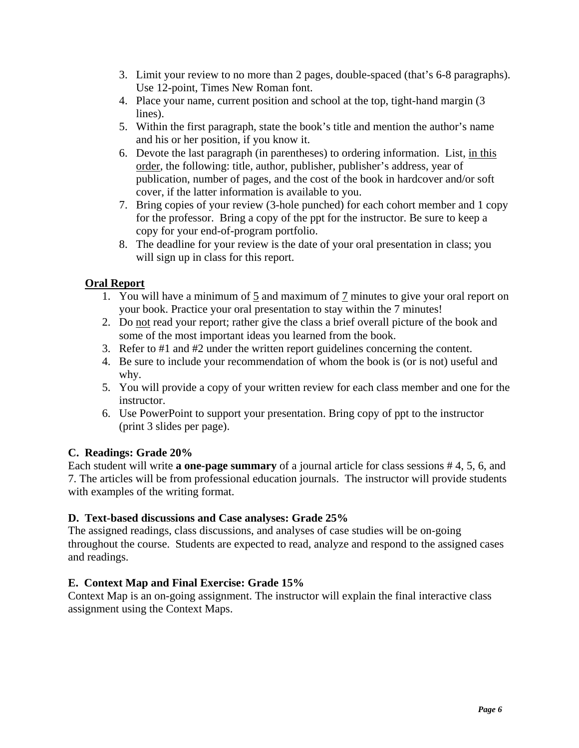- 3. Limit your review to no more than 2 pages, double-spaced (that's 6-8 paragraphs). Use 12-point, Times New Roman font.
- 4. Place your name, current position and school at the top, tight-hand margin (3) lines).
- 5. Within the first paragraph, state the book's title and mention the author's name and his or her position, if you know it.
- 6. Devote the last paragraph (in parentheses) to ordering information. List, in this order, the following: title, author, publisher, publisher's address, year of publication, number of pages, and the cost of the book in hardcover and/or soft cover, if the latter information is available to you.
- 7. Bring copies of your review (3-hole punched) for each cohort member and 1 copy for the professor. Bring a copy of the ppt for the instructor. Be sure to keep a copy for your end-of-program portfolio.
- 8. The deadline for your review is the date of your oral presentation in class; you will sign up in class for this report.

# **Oral Report**

- 1. You will have a minimum of 5 and maximum of 7 minutes to give your oral report on your book. Practice your oral presentation to stay within the 7 minutes!
- 2. Do not read your report; rather give the class a brief overall picture of the book and some of the most important ideas you learned from the book.
- 3. Refer to #1 and #2 under the written report guidelines concerning the content.
- 4. Be sure to include your recommendation of whom the book is (or is not) useful and why.
- 5. You will provide a copy of your written review for each class member and one for the instructor.
- 6. Use PowerPoint to support your presentation. Bring copy of ppt to the instructor (print 3 slides per page).

# **C. Readings: Grade 20%**

Each student will write **a one-page summary** of a journal article for class sessions # 4, 5, 6, and 7. The articles will be from professional education journals. The instructor will provide students with examples of the writing format.

# **D. Text-based discussions and Case analyses: Grade 25%**

The assigned readings, class discussions, and analyses of case studies will be on-going throughout the course. Students are expected to read, analyze and respond to the assigned cases and readings.

# **E. Context Map and Final Exercise: Grade 15%**

Context Map is an on-going assignment. The instructor will explain the final interactive class assignment using the Context Maps.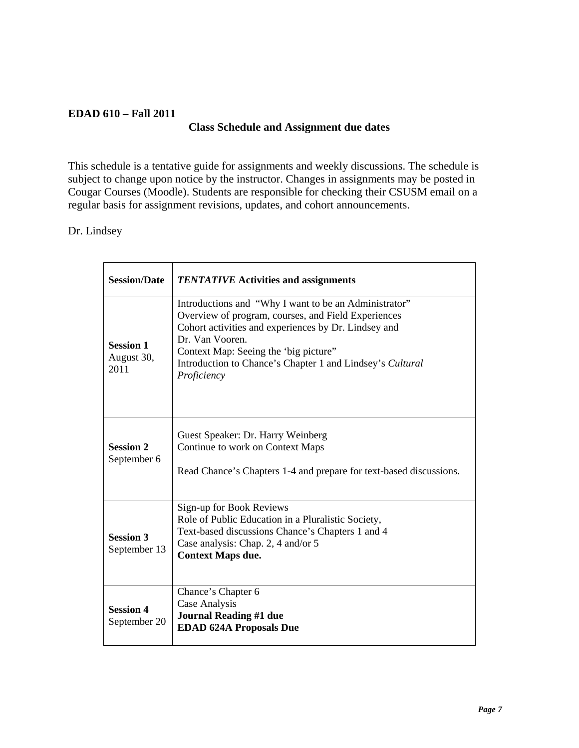# **EDAD 610 – Fall 2011**

# **Class Schedule and Assignment due dates**

This schedule is a tentative guide for assignments and weekly discussions. The schedule is subject to change upon notice by the instructor. Changes in assignments may be posted in Cougar Courses (Moodle). Students are responsible for checking their CSUSM email on a regular basis for assignment revisions, updates, and cohort announcements.

# Dr. Lindsey

| <b>Session/Date</b>                    | <b>TENTATIVE</b> Activities and assignments                                                                                                                                                                                                                                                                   |  |
|----------------------------------------|---------------------------------------------------------------------------------------------------------------------------------------------------------------------------------------------------------------------------------------------------------------------------------------------------------------|--|
| <b>Session 1</b><br>August 30,<br>2011 | Introductions and "Why I want to be an Administrator"<br>Overview of program, courses, and Field Experiences<br>Cohort activities and experiences by Dr. Lindsey and<br>Dr. Van Vooren.<br>Context Map: Seeing the 'big picture''<br>Introduction to Chance's Chapter 1 and Lindsey's Cultural<br>Proficiency |  |
| <b>Session 2</b><br>September 6        | Guest Speaker: Dr. Harry Weinberg<br>Continue to work on Context Maps<br>Read Chance's Chapters 1-4 and prepare for text-based discussions.                                                                                                                                                                   |  |
| <b>Session 3</b><br>September 13       | Sign-up for Book Reviews<br>Role of Public Education in a Pluralistic Society,<br>Text-based discussions Chance's Chapters 1 and 4<br>Case analysis: Chap. 2, 4 and/or 5<br><b>Context Maps due.</b>                                                                                                          |  |
| <b>Session 4</b><br>September 20       | Chance's Chapter 6<br>Case Analysis<br><b>Journal Reading #1 due</b><br><b>EDAD 624A Proposals Due</b>                                                                                                                                                                                                        |  |